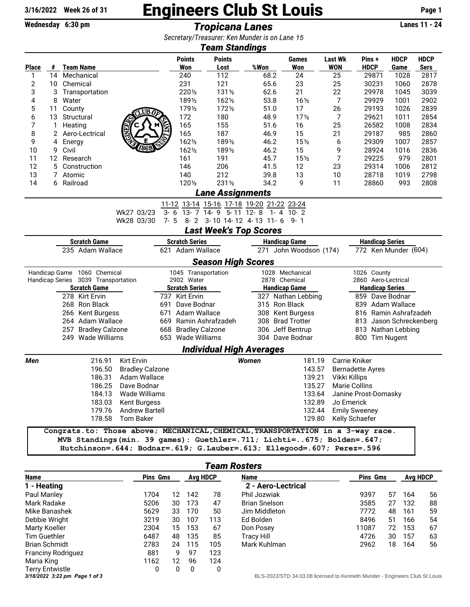## $\frac{3/16/2022}{\text{Wechesday } 6:30 \text{ pm}}$  Engineers Club St Louis Page 1<br>Tronicana Lanes

Wednesday 6:30 pm **Tropicana Lanes** 

*Secretary/Treasurer: Ken Munder is on Lane 21 15*

| 0001010177110090101.110111110110011901100110<br><b>Team Standings</b>                                                                                 |                  |                      |                                     |                                                                                 |                       |                         |                                                |              |                                            |                        |                 |                         |             |             |
|-------------------------------------------------------------------------------------------------------------------------------------------------------|------------------|----------------------|-------------------------------------|---------------------------------------------------------------------------------|-----------------------|-------------------------|------------------------------------------------|--------------|--------------------------------------------|------------------------|-----------------|-------------------------|-------------|-------------|
|                                                                                                                                                       |                  |                      |                                     |                                                                                 |                       | <b>Points</b>           | <b>Points</b>                                  |              |                                            | Games                  | <b>Last Wk</b>  | Pins +                  | <b>HDCP</b> | <b>HDCP</b> |
| <b>Place</b>                                                                                                                                          | #                | <b>Team Name</b>     |                                     |                                                                                 |                       | Won                     | Lost                                           | %Won         |                                            | Won                    | <b>WON</b>      | <b>HDCP</b>             | Game        | <b>Sers</b> |
| 1                                                                                                                                                     | 14               | Mechanical           |                                     |                                                                                 |                       | 240                     | 112                                            | 68.2         |                                            | 24                     | 25              | 29871                   | 1028        | 2817        |
| 2                                                                                                                                                     | 10               | Chemical             |                                     |                                                                                 |                       | 231                     | 121                                            | 65.6         |                                            | 23                     | 25              | 30231                   | 1060        | 2878        |
| 3                                                                                                                                                     | 3                |                      | Transportation                      |                                                                                 |                       | 2201/2                  | 1311/2                                         | 62.6         |                                            | 21                     | 22              | 29978                   | 1045        | 3039        |
| 4                                                                                                                                                     | 8                | Water                |                                     |                                                                                 |                       | 1891/2                  | 1621/2                                         | 53.8         |                                            | $16\frac{1}{2}$        | 7               | 29929                   | 1001        | 2902        |
| 5                                                                                                                                                     | 11               | County<br>UB0        |                                     |                                                                                 |                       | 1791/2                  | 1721/2                                         | 51.0         |                                            | 17                     | 26              | 29193                   | 1026        | 2839        |
| 6                                                                                                                                                     | 13               | Structural           |                                     |                                                                                 |                       | 172                     | 180                                            | 48.9         |                                            | 17 <sub>2</sub>        | 7               | 29621                   | 1011        | 2854        |
| 7                                                                                                                                                     |                  | NEET<br>1<br>Heating |                                     |                                                                                 |                       | 165                     | 155                                            | 51.6         |                                            | 16                     | 25              | 26582                   | 1008        | 2834        |
| 8                                                                                                                                                     | $^{2}$           |                      | Aero-Lectrical                      |                                                                                 |                       | 165                     | 187                                            | 46.9         |                                            | 15                     | 21              | 29187                   | 985         | 2860        |
| 9                                                                                                                                                     | 4                | Energy               |                                     |                                                                                 |                       | 1621/2                  | 1891/2                                         | 46.2         |                                            | 15 <sub>2</sub>        | 6               | 29309                   | 1007        | 2857        |
| 10                                                                                                                                                    | 9                | Civil                |                                     |                                                                                 |                       | 1621/2                  | 1891/2                                         | 46.2         |                                            | 15                     | 9               | 28924                   | 1016        | 2836        |
| 11                                                                                                                                                    | 12               | Research             |                                     |                                                                                 |                       | 161                     | 191                                            | 45.7         |                                            | 15 <sub>2</sub>        | 7               | 29225                   | 979         | 2801        |
| 12                                                                                                                                                    | 5                |                      | Construction                        |                                                                                 |                       | 146                     | 206                                            | 41.5         |                                            | 12                     | 23              | 29314                   | 1006        | 2812        |
| 13                                                                                                                                                    | 7                | Atomic               |                                     |                                                                                 |                       | 140                     | 212                                            | 39.8         |                                            | 13                     | 10              | 28718                   | 1019        | 2798        |
| 14                                                                                                                                                    |                  | 6 Railroad           |                                     |                                                                                 |                       | 1201/2                  | 2311/2                                         | 34.2         |                                            | 9                      | 11              | 28860                   | 993         | 2808        |
| <b>Lane Assignments</b>                                                                                                                               |                  |                      |                                     |                                                                                 |                       |                         |                                                |              |                                            |                        |                 |                         |             |             |
| 11-12 13-14 15-16 17-18 19-20 21-22 23-24                                                                                                             |                  |                      |                                     |                                                                                 |                       |                         |                                                |              |                                            |                        |                 |                         |             |             |
|                                                                                                                                                       |                  |                      |                                     | Wk27 03/23                                                                      |                       |                         | $3-6$ $13-7$ $14-9$ $5-11$ $12-8$ $1-4$ $10-2$ |              |                                            |                        |                 |                         |             |             |
|                                                                                                                                                       |                  |                      |                                     | Wk28 03/30                                                                      | $7 - 5$               |                         | 8-2 3-10 14-12 4-13 11-6 9-1                   |              |                                            |                        |                 |                         |             |             |
|                                                                                                                                                       |                  |                      |                                     |                                                                                 |                       |                         | <b>Last Week's Top Scores</b>                  |              |                                            |                        |                 |                         |             |             |
| <b>Handicap Series</b><br><b>Scratch Game</b><br><b>Scratch Series</b><br><b>Handicap Game</b>                                                        |                  |                      |                                     |                                                                                 |                       |                         |                                                |              |                                            |                        |                 |                         |             |             |
| 235 Adam Wallace                                                                                                                                      |                  |                      |                                     |                                                                                 |                       | 621 Adam Wallace<br>271 |                                                |              | John Woodson (174)<br>772 Ken Munder (604) |                        |                 |                         |             |             |
|                                                                                                                                                       |                  |                      |                                     |                                                                                 |                       |                         | <b>Season High Scores</b>                      |              |                                            |                        |                 |                         |             |             |
|                                                                                                                                                       |                  |                      | Handicap Game 1060 Chemical         |                                                                                 |                       | 1045 Transportation     |                                                |              |                                            | 1028 Mechanical        |                 | 1026 County             |             |             |
|                                                                                                                                                       |                  |                      | Handicap Series 3039 Transportation |                                                                                 |                       | 2902 Water              |                                                |              | 2878 Chemical                              |                        |                 | 2860 Aero-Lectrical     |             |             |
| <b>Scratch Game</b>                                                                                                                                   |                  |                      |                                     |                                                                                 | <b>Scratch Series</b> |                         | <b>Handicap Game</b>                           |              |                                            | <b>Handicap Series</b> |                 |                         |             |             |
| 278 Kirt Ervin                                                                                                                                        |                  |                      |                                     |                                                                                 | 737 Kirt Ervin        |                         |                                                |              | 327 Nathan Lebbing                         |                        | 859 Dave Bodnar |                         |             |             |
|                                                                                                                                                       | 268 Ron Black    |                      |                                     | 691                                                                             | Dave Bodnar           |                         | 315 Ron Black                                  |              |                                            | 839 Adam Wallace       |                 |                         |             |             |
|                                                                                                                                                       | 266 Kent Burgess |                      |                                     | 671 Adam Wallace                                                                |                       |                         | 308 Kent Burgess                               |              | 816 Ramin Ashrafzadeh                      |                        |                 |                         |             |             |
|                                                                                                                                                       |                  |                      | 264 Adam Wallace                    |                                                                                 |                       |                         | 669 Ramin Ashrafzadeh                          |              |                                            | 308 Brad Trotter       |                 | 813 Jason Schreckenberg |             |             |
|                                                                                                                                                       |                  |                      | 257 Bradley Calzone                 |                                                                                 |                       | 668 Bradley Calzone     |                                                |              |                                            | 306 Jeff Bentrup       |                 | 813 Nathan Lebbing      |             |             |
|                                                                                                                                                       |                  |                      | 249 Wade Williams                   |                                                                                 |                       | 653 Wade Williams       |                                                |              |                                            | 304 Dave Bodnar        |                 | 800 Tim Nugent          |             |             |
|                                                                                                                                                       |                  |                      |                                     |                                                                                 |                       |                         | <b>Individual High Averages</b>                |              |                                            |                        |                 |                         |             |             |
| Men                                                                                                                                                   |                  |                      | 216.91                              | Kirt Ervin                                                                      |                       |                         |                                                | <b>Women</b> |                                            | 181.19                 |                 | Carrie Kniker           |             |             |
|                                                                                                                                                       |                  |                      | 196.50                              | <b>Bradley Calzone</b>                                                          |                       |                         |                                                |              |                                            | 143.57                 |                 | <b>Bernadette Ayres</b> |             |             |
|                                                                                                                                                       |                  |                      | 186.31                              | Adam Wallace                                                                    |                       |                         |                                                |              |                                            | 139.21                 |                 | Vikki Killips           |             |             |
|                                                                                                                                                       |                  |                      | 186.25                              | Dave Bodnar                                                                     |                       |                         |                                                |              |                                            | 135.27                 |                 | Marie Collins           |             |             |
|                                                                                                                                                       |                  |                      | 184.13                              | Wade Williams                                                                   |                       |                         |                                                |              |                                            | 133.64                 |                 | Janine Prost-Domasky    |             |             |
|                                                                                                                                                       |                  |                      |                                     | 183.03 Kent Burgess                                                             |                       |                         |                                                |              |                                            | 132.89                 |                 | Jo Emerick              |             |             |
|                                                                                                                                                       |                  |                      |                                     | 179.76 Andrew Bartell                                                           |                       |                         |                                                |              |                                            | 132.44                 |                 | <b>Emily Sweeney</b>    |             |             |
|                                                                                                                                                       |                  |                      |                                     | 178.58 Tom Baker                                                                |                       |                         |                                                |              |                                            | 129.80                 |                 | Kelly Schaefer          |             |             |
|                                                                                                                                                       |                  |                      |                                     | Congrats.to: Those above; MECHANICAL, CHEMICAL, TRANSPORTATION in a 3-way race. |                       |                         |                                                |              |                                            |                        |                 |                         |             |             |
|                                                                                                                                                       |                  |                      |                                     |                                                                                 |                       |                         |                                                |              |                                            |                        |                 |                         |             |             |
| MVB Standings (min. 39 games): Guethler=.711; Lichti=675; Bolden=.647;<br>Hutchinson=. 644; Bodnar=. 619; G.Lauber=. 613; Ellegood=. 607; Perez=. 596 |                  |                      |                                     |                                                                                 |                       |                         |                                                |              |                                            |                        |                 |                         |             |             |

| <b>Team Rosters</b>           |                 |                 |     |             |                                                                         |                 |    |     |   |  |  |
|-------------------------------|-----------------|-----------------|-----|-------------|-------------------------------------------------------------------------|-----------------|----|-----|---|--|--|
| <b>Name</b>                   | <b>Pins Gms</b> | <b>Avg HDCP</b> |     | <b>Name</b> | <b>Pins Gms</b>                                                         | <b>Avg HDCP</b> |    |     |   |  |  |
| 1 - Heating                   |                 |                 |     |             | 2 - Aero-Lectrical                                                      |                 |    |     |   |  |  |
| Paul Manley                   | 1704            | 12              | 142 | 78          | Phil Jozwiak                                                            | 9397            | 57 | 164 | 5 |  |  |
| Mark Radake                   | 5206            | 30              | 173 | 47          | <b>Brian Snelson</b>                                                    | 3585            | 27 | 132 | 8 |  |  |
| Mike Banashek                 | 5629            | 33              | 170 | 50          | Jim Middleton                                                           | 7772            | 48 | 161 | 5 |  |  |
| Debbie Wright                 | 3219            | 30              | 107 | 113         | Ed Bolden                                                               | 8496            | 51 | 166 | 5 |  |  |
| Marty Koeller                 | 2304            | 15              | 153 | 67          | Don Posey                                                               | 11087           | 72 | 153 | 6 |  |  |
| <b>Tim Guethler</b>           | 6487            | 48              | 135 | 85          | <b>Tracy Hill</b>                                                       | 4726            | 30 | 157 | 6 |  |  |
| <b>Brian Schmidt</b>          | 2783            | 24              | 115 | 105         | Mark Kuhlman                                                            | 2962            | 18 | 164 | 5 |  |  |
| <b>Franciny Rodriguez</b>     | 881             | 9               | 97  | 123         |                                                                         |                 |    |     |   |  |  |
| Maria King                    | 1162            | 12 <sup>2</sup> | 96  | 124         |                                                                         |                 |    |     |   |  |  |
| <b>Terry Entwistle</b>        | 0               | 0               | 0   | 0           |                                                                         |                 |    |     |   |  |  |
| 3/18/2022 3:22 pm Page 1 of 3 |                 |                 |     |             | BLS-2022/STD 34.03.08 licensed to Kenneth Munder - Engineers Club St Lo |                 |    |     |   |  |  |

| <b>Name</b>          | <b>Pins Gms</b> | <b>Avg HDCP</b> |     |    |
|----------------------|-----------------|-----------------|-----|----|
| 2 - Aero-Lectrical   |                 |                 |     |    |
| Phil Jozwiak         | 9397            | 57              | 164 | 56 |
| <b>Brian Snelson</b> | 3585            | 27              | 132 | 88 |
| Jim Middleton        | 7772            | 48              | 161 | 59 |
| Ed Bolden            | 8496            | 51              | 166 | 54 |
| Don Posey            | 11087           | 72              | 153 | 67 |
| <b>Tracy Hill</b>    | 4726            | 30              | 157 | 63 |
| Mark Kuhlman         | 2962            | 18              | 164 | 56 |